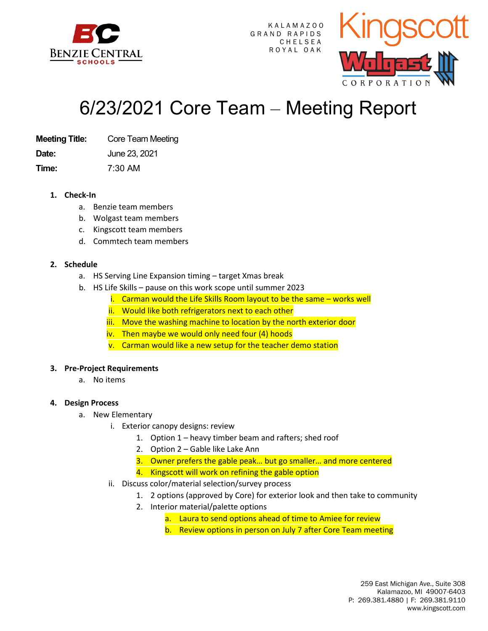

K A L A M A Z O O GRAND RAPIDS **CHELSEA** R O Y A L O A K



# 6/23/2021 Core Team – Meeting Report

**Meeting Title:** Core Team Meeting

**Date:** June 23, 2021

**Time:** 7:30 AM

**1. Check-In** 

- a. Benzie team members
- b. Wolgast team members
- c. Kingscott team members
- d. Commtech team members

### **2. Schedule**

- a. HS Serving Line Expansion timing target Xmas break
- b. HS Life Skills pause on this work scope until summer 2023
	- i. Carman would the Life Skills Room layout to be the same works well
	- ii. Would like both refrigerators next to each other
	- iii. Move the washing machine to location by the north exterior door
	- iv. Then maybe we would only need four (4) hoods
	- v. Carman would like a new setup for the teacher demo station

### **3. Pre-Project Requirements**

a. No items

### **4. Design Process**

- a. New Elementary
	- i. Exterior canopy designs: review
		- 1. Option 1 heavy timber beam and rafters; shed roof
		- 2. Option 2 Gable like Lake Ann
		- 3. Owner prefers the gable peak… but go smaller… and more centered
		- 4. Kingscott will work on refining the gable option
	- ii. Discuss color/material selection/survey process
		- 1. 2 options (approved by Core) for exterior look and then take to community
		- 2. Interior material/palette options
			- a. Laura to send options ahead of time to Amiee for review
			- b. Review options in person on July 7 after Core Team meeting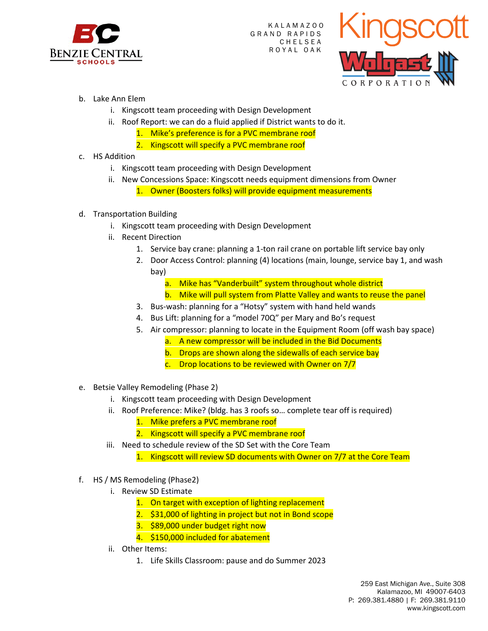

K A L A M A Z O O GRAND RAPIDS **CHELSEA** R O Y A L O A K



- b. Lake Ann Elem
	- i. Kingscott team proceeding with Design Development
	- ii. Roof Report: we can do a fluid applied if District wants to do it.
		- 1. Mike's preference is for a PVC membrane roof
		- 2. Kingscott will specify a PVC membrane roof
- c. HS Addition
	- i. Kingscott team proceeding with Design Development
	- ii. New Concessions Space: Kingscott needs equipment dimensions from Owner 1. Owner (Boosters folks) will provide equipment measurements
- d. Transportation Building
	- i. Kingscott team proceeding with Design Development
	- ii. Recent Direction
		- 1. Service bay crane: planning a 1-ton rail crane on portable lift service bay only
		- 2. Door Access Control: planning (4) locations (main, lounge, service bay 1, and wash bay)
			- a. Mike has "Vanderbuilt" system throughout whole district
			- b. Mike will pull system from Platte Valley and wants to reuse the panel
		- 3. Bus-wash: planning for a "Hotsy" system with hand held wands
		- 4. Bus Lift: planning for a "model 70Q" per Mary and Bo's request
		- 5. Air compressor: planning to locate in the Equipment Room (off wash bay space)
			- a. A new compressor will be included in the Bid Documents
			- b. Drops are shown along the sidewalls of each service bay
			- c. Drop locations to be reviewed with Owner on 7/7
- e. Betsie Valley Remodeling (Phase 2)
	- i. Kingscott team proceeding with Design Development
	- ii. Roof Preference: Mike? (bldg. has 3 roofs so… complete tear off is required)
		- 1. Mike prefers a PVC membrane roof
		- 2. Kingscott will specify a PVC membrane roof
	- iii. Need to schedule review of the SD Set with the Core Team
		- 1. Kingscott will review SD documents with Owner on 7/7 at the Core Team
- f. HS / MS Remodeling (Phase2)
	- i. Review SD Estimate
		- 1. On target with exception of lighting replacement
		- 2. \$31,000 of lighting in project but not in Bond scope
		- 3. \$89,000 under budget right now
		- 4. \$150,000 included for abatement
	- ii. Other Items:
		- 1. Life Skills Classroom: pause and do Summer 2023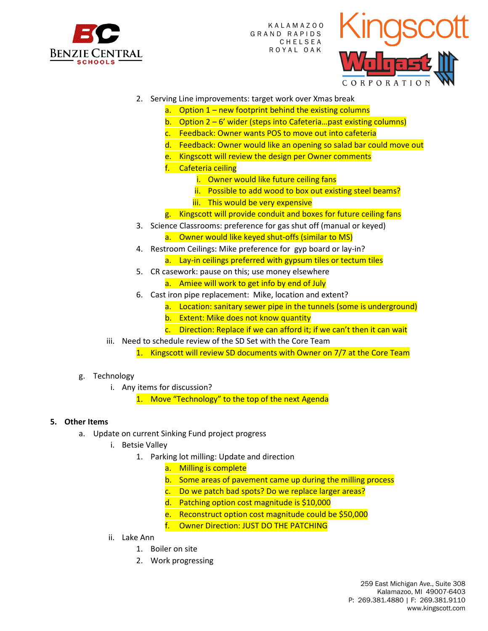

K A L A M A Z O O GRAND RAPIDS **CHELSEA** R O Y A L O A K



- 2. Serving Line improvements: target work over Xmas break
	- a. Option  $1$  new footprint behind the existing columns
	- b. Option  $2 6'$  wider (steps into Cafeteria...past existing columns)
	- c. Feedback: Owner wants POS to move out into cafeteria
	- d. Feedback: Owner would like an opening so salad bar could move out
	- e. Kingscott will review the design per Owner comments
	- f. Cafeteria ceiling
		- i. Owner would like future ceiling fans
		- ii. Possible to add wood to box out existing steel beams?
		- iii. This would be very expensive
	- g. Kingscott will provide conduit and boxes for future ceiling fans
- 3. Science Classrooms: preference for gas shut off (manual or keyed)
	- a. Owner would like keyed shut-offs (similar to MS)
- 4. Restroom Ceilings: Mike preference for gyp board or lay-in?
	- a. Lay-in ceilings preferred with gypsum tiles or tectum tiles
- 5. CR casework: pause on this; use money elsewhere
	- a. Amiee will work to get info by end of July
- 6. Cast iron pipe replacement: Mike, location and extent?
	- a. Location: sanitary sewer pipe in the tunnels (some is underground)
	- b. Extent: Mike does not know quantity
	- c. Direction: Replace if we can afford it; if we can't then it can wait
- iii. Need to schedule review of the SD Set with the Core Team
	- 1. Kingscott will review SD documents with Owner on 7/7 at the Core Team
- g. Technology
	- i. Any items for discussion?

1. Move "Technology" to the top of the next Agenda

### **5. Other Items**

- a. Update on current Sinking Fund project progress
	- i. Betsie Valley
		- 1. Parking lot milling: Update and direction
			- a. Milling is complete
			- b. Some areas of pavement came up during the milling process
			- c. Do we patch bad spots? Do we replace larger areas?
			- d. Patching option cost magnitude is \$10,000
			- e. Reconstruct option cost magnitude could be \$50,000
			- f. Owner Direction: JUST DO THE PATCHING
	- ii. Lake Ann
		- 1. Boiler on site
		- 2. Work progressing